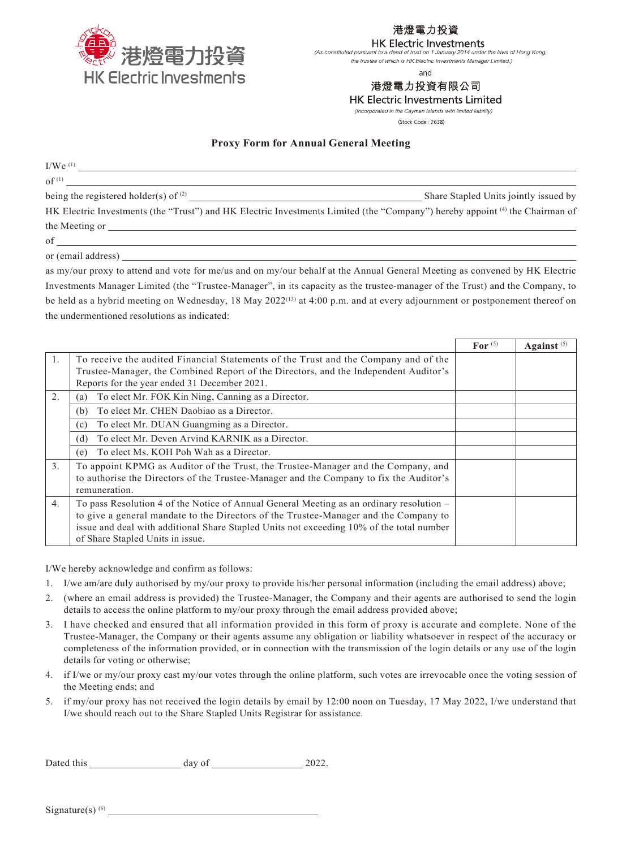

港燈電力投資

## **HK Electric Investments**

(As constituted pursuant to a deed of trust on 1 January 2014 under the laws of Hong Kong, the trustee of which is HK Electric Investments Manager Limited.)

and

# 港燈電力投資有限公司

**HK Electric Investments Limited** 

(Incorporated in the Cayman Islands with limited liability)

(Stock Code: 2638)

## **Proxy Form for Annual General Meeting**

 $I/We^{(1)}$ 

 $\mathrm{of}^{(1)}$ 

being the registered holder(s) of <sup>(2)</sup>  $\qquad \qquad$  Share Stapled Units jointly issued by

HK Electric Investments (the "Trust") and HK Electric Investments Limited (the "Company") hereby appoint <sup>(4)</sup> the Chairman of the Meeting or

of

or (email address)

as my/our proxy to attend and vote for me/us and on my/our behalf at the Annual General Meeting as convened by HK Electric Investments Manager Limited (the "Trustee-Manager", in its capacity as the trustee-manager of the Trust) and the Company, to be held as a hybrid meeting on Wednesday, 18 May 2022<sup>(13)</sup> at 4:00 p.m. and at every adjournment or postponement thereof on the undermentioned resolutions as indicated:

|                  |                                                                                          | For $(5)$ | Against $(5)$ |
|------------------|------------------------------------------------------------------------------------------|-----------|---------------|
| 1.               | To receive the audited Financial Statements of the Trust and the Company and of the      |           |               |
|                  | Trustee-Manager, the Combined Report of the Directors, and the Independent Auditor's     |           |               |
|                  | Reports for the year ended 31 December 2021.                                             |           |               |
| 2.               | To elect Mr. FOK Kin Ning, Canning as a Director.<br>(a)                                 |           |               |
|                  | To elect Mr. CHEN Daobiao as a Director.<br>(b)                                          |           |               |
|                  | To elect Mr. DUAN Guangming as a Director.<br>(c)                                        |           |               |
|                  | To elect Mr. Deven Arvind KARNIK as a Director.<br>(d)                                   |           |               |
|                  | To elect Ms. KOH Poh Wah as a Director.<br>(e)                                           |           |               |
| $\overline{3}$ . | To appoint KPMG as Auditor of the Trust, the Trustee-Manager and the Company, and        |           |               |
|                  | to authorise the Directors of the Trustee-Manager and the Company to fix the Auditor's   |           |               |
|                  | remuneration.                                                                            |           |               |
| 4.               | To pass Resolution 4 of the Notice of Annual General Meeting as an ordinary resolution - |           |               |
|                  | to give a general mandate to the Directors of the Trustee-Manager and the Company to     |           |               |
|                  | issue and deal with additional Share Stapled Units not exceeding 10% of the total number |           |               |
|                  | of Share Stapled Units in issue.                                                         |           |               |

I/We hereby acknowledge and confirm as follows:

- 1. I/we am/are duly authorised by my/our proxy to provide his/her personal information (including the email address) above;
- 2. (where an email address is provided) the Trustee-Manager, the Company and their agents are authorised to send the login details to access the online platform to my/our proxy through the email address provided above;
- 3. I have checked and ensured that all information provided in this form of proxy is accurate and complete. None of the Trustee-Manager, the Company or their agents assume any obligation or liability whatsoever in respect of the accuracy or completeness of the information provided, or in connection with the transmission of the login details or any use of the login details for voting or otherwise;
- 4. if I/we or my/our proxy cast my/our votes through the online platform, such votes are irrevocable once the voting session of the Meeting ends; and
- 5. if my/our proxy has not received the login details by email by 12:00 noon on Tuesday, 17 May 2022, I/we understand that I/we should reach out to the Share Stapled Units Registrar for assistance.

Dated this day of 2022.